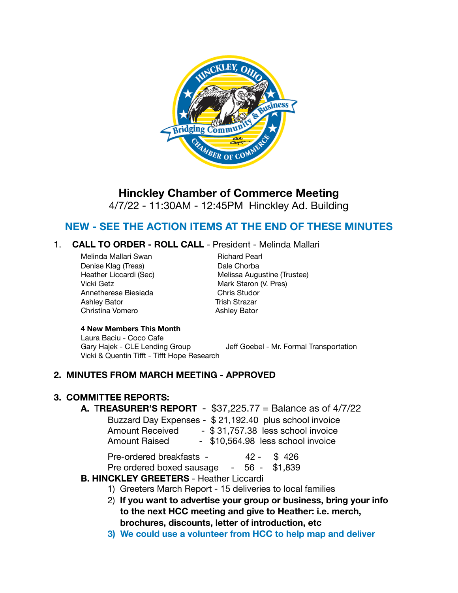

# **Hinckley Chamber of Commerce Meeting**

4/7/22 - 11:30AM - 12:45PM Hinckley Ad. Building

# **NEW - SEE THE ACTION ITEMS AT THE END OF THESE MINUTES**

#### 1. **CALL TO ORDER - ROLL CALL** - President - Melinda Mallari

Melinda Mallari Swan **Bangkara Britan Richard Pearl** Denise Klag (Treas) **Dale Chorba** Vicki Getz **Mark Staron (V. Pres)** Annetherese Biesiada **Branch Chris Studor** Ashley Bator **Bator** *Ashley Bator Ashley Bator Ashley Bator Ashley Bator Ashley Bator Ashley Bator Ashley Bator Ashley Bator Ashley Bator Ashley Bator Ashley Bator A* Christina Vomero **Ashley Bator** 

Heather Liccardi (Sec) Melissa Augustine (Trustee)

#### **4 New Members This Month**

 Laura Baciu - Coco Cafe Gary Hajek - CLE Lending Group Jeff Goebel - Mr. Formal Transportation Vicki & Quentin Tifft - Tifft Hope Research

#### **2. MINUTES FROM MARCH MEETING - APPROVED**

#### **3. COMMITTEE REPORTS:**

#### **A.** T**REASURER'S REPORT** - \$37,225.77 = Balance as of 4/7/22

|                        | Buzzard Day Expenses - \$21,192.40 plus school invoice |
|------------------------|--------------------------------------------------------|
| <b>Amount Received</b> | - \$31,757.38 less school invoice                      |
| <b>Amount Raised</b>   | - \$10,564.98 less school invoice                      |

| Pre-ordered breakfasts - | $42 - $426$ |  |
|--------------------------|-------------|--|
|                          |             |  |

Pre ordered boxed sausage - 56 - \$1,839

#### **B. HINCKLEY GREETERS** - Heather Liccardi

- 1) Greeters March Report 15 deliveries to local families
- 2) **If you want to advertise your group or business, bring your info to the next HCC meeting and give to Heather: i.e. merch, brochures, discounts, letter of introduction, etc**
- **3) We could use a volunteer from HCC to help map and deliver**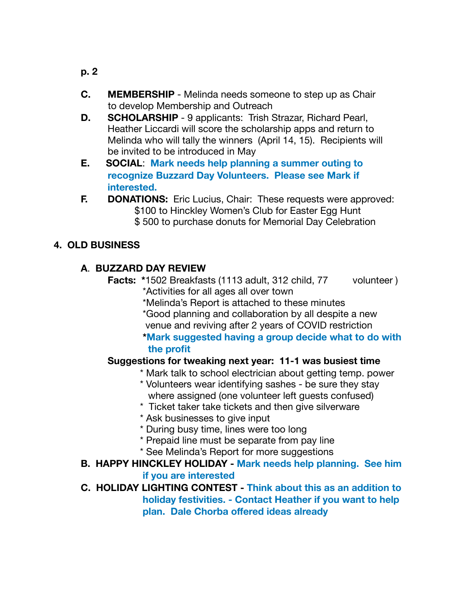- **p. 2**
- **C. MEMBERSHIP**  Melinda needs someone to step up as Chair to develop Membership and Outreach
- **D. SCHOLARSHIP**  9 applicants: Trish Strazar, Richard Pearl, Heather Liccardi will score the scholarship apps and return to Melinda who will tally the winners (April 14, 15). Recipients will be invited to be introduced in May
- **E. SOCIAL**: **Mark needs help planning a summer outing to recognize Buzzard Day Volunteers. Please see Mark if interested.**
- **F. DONATIONS:** Eric Lucius, Chair: These requests were approved: \$100 to Hinckley Women's Club for Easter Egg Hunt \$ 500 to purchase donuts for Memorial Day Celebration

# **4. OLD BUSINESS**

## **A**. **BUZZARD DAY REVIEW**

- **Facts:** \*1502 Breakfasts (1113 adult, 312 child, 77 volunteer) \*Activities for all ages all over town
	- \*Melinda's Report is attached to these minutes
	- \*Good planning and collaboration by all despite a new venue and reviving after 2 years of COVID restriction

### **\*Mark suggested having a group decide what to do with the profit**

### **Suggestions for tweaking next year: 11-1 was busiest time**

- \* Mark talk to school electrician about getting temp. power
- \* Volunteers wear identifying sashes be sure they stay where assigned (one volunteer left guests confused)
- \* Ticket taker take tickets and then give silverware
- \* Ask businesses to give input
- \* During busy time, lines were too long
- \* Prepaid line must be separate from pay line
- \* See Melinda's Report for more suggestions
- **B. HAPPY HINCKLEY HOLIDAY Mark needs help planning. See him if you are interested**

# **C. HOLIDAY LIGHTING CONTEST - Think about this as an addition to holiday festivities. - Contact Heather if you want to help plan. Dale Chorba offered ideas already**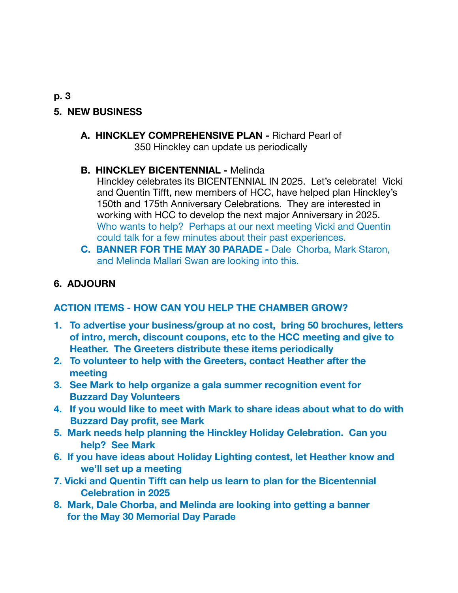# **5. NEW BUSINESS**

**A. HINCKLEY COMPREHENSIVE PLAN -** Richard Pearl of 350 Hinckley can update us periodically

## **B. HINCKLEY BICENTENNIAL -** Melinda

 Hinckley celebrates its BICENTENNIAL IN 2025. Let's celebrate! Vicki and Quentin Tifft, new members of HCC, have helped plan Hinckley's 150th and 175th Anniversary Celebrations. They are interested in working with HCC to develop the next major Anniversary in 2025. Who wants to help? Perhaps at our next meeting Vicki and Quentin could talk for a few minutes about their past experiences.

**C. BANNER FOR THE MAY 30 PARADE -** Dale Chorba, Mark Staron, and Melinda Mallari Swan are looking into this.

## **6. ADJOURN**

### **ACTION ITEMS - HOW CAN YOU HELP THE CHAMBER GROW?**

- **1. To advertise your business/group at no cost, bring 50 brochures, letters of intro, merch, discount coupons, etc to the HCC meeting and give to Heather. The Greeters distribute these items periodically**
- **2. To volunteer to help with the Greeters, contact Heather after the meeting**
- **3. See Mark to help organize a gala summer recognition event for Buzzard Day Volunteers**
- **4. If you would like to meet with Mark to share ideas about what to do with Buzzard Day profit, see Mark**
- **5. Mark needs help planning the Hinckley Holiday Celebration. Can you help? See Mark**
- **6. If you have ideas about Holiday Lighting contest, let Heather know and we'll set up a meeting**
- **7. Vicki and Quentin Tifft can help us learn to plan for the Bicentennial Celebration in 2025**
- **8. Mark, Dale Chorba, and Melinda are looking into getting a banner for the May 30 Memorial Day Parade**

#### **p. 3**